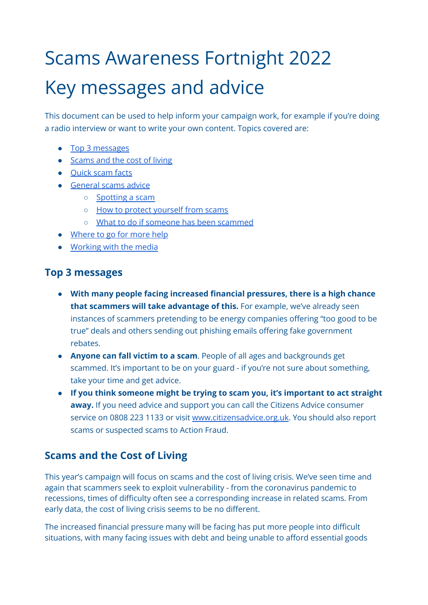# Scams Awareness Fortnight 2022 Key messages and advice

This document can be used to help inform your campaign work, for example if you're doing a radio interview or want to write your own content. Topics covered are:

- Top 3 [messages](#page-0-0)
- [Scams](#page-0-1) and the cost of living
- [Quick](#page-1-0) scam facts
- [General](#page-2-0) scams advice
	- [Spotting](#page-2-1) a scam
	- How to protect [yourself](#page-2-2) from scams
	- What to do if someone has been [scammed](#page-3-0)
- [Where](#page-4-0) to go for more help
- [Working](#page-4-1) with the media

### <span id="page-0-0"></span>**Top 3 messages**

- **With many people facing increased financial pressures, there is a high chance that scammers will take advantage of this.** For example, we've already seen instances of scammers pretending to be energy companies offering "too good to be true" deals and others sending out phishing emails offering fake government rebates.
- **● Anyone can fall victim to a scam**. People of all ages and backgrounds get scammed. It's important to be on your guard - if you're not sure about something, take your time and get advice.
- **If you think someone might be trying to scam you, it's important to act straight away.** If you need advice and support you can call the Citizens Advice consumer service on 0808 223 1133 or visit [www.citizensadvice.org.uk](http://www.citizensadvice.org.uk). You should also report scams or suspected scams to Action Fraud.

## <span id="page-0-1"></span>**Scams and the Cost of Living**

This year's campaign will focus on scams and the cost of living crisis. We've seen time and again that scammers seek to exploit vulnerability - from the coronavirus pandemic to recessions, times of difficulty often see a corresponding increase in related scams. From early data, the cost of living crisis seems to be no different.

The increased financial pressure many will be facing has put more people into difficult situations, with many facing issues with debt and being unable to afford essential goods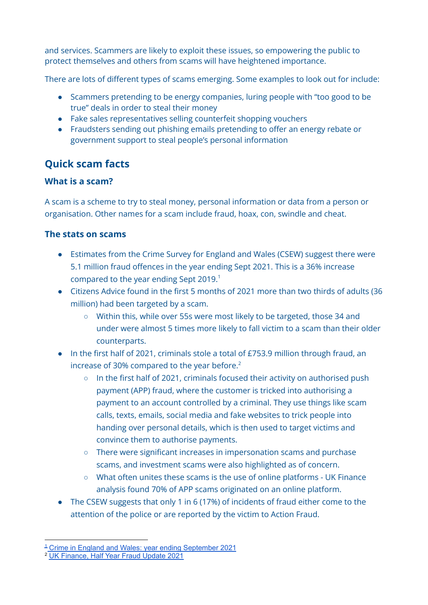and services. Scammers are likely to exploit these issues, so empowering the public to protect themselves and others from scams will have heightened importance.

There are lots of different types of scams emerging. Some examples to look out for include:

- Scammers pretending to be energy companies, luring people with "too good to be true" deals in order to steal their money
- Fake sales representatives selling counterfeit shopping vouchers
- Fraudsters sending out phishing emails pretending to offer an energy rebate or government support to steal people's personal information

# <span id="page-1-0"></span>**Quick scam facts**

#### **What is a scam?**

A scam is a scheme to try to steal money, personal information or data from a person or organisation. Other names for a scam include fraud, hoax, con, swindle and cheat.

#### **The stats on scams**

- Estimates from the Crime Survey for England and Wales (CSEW) suggest there were 5.1 million fraud offences in the year ending Sept 2021. This is a 36% increase compared to the year ending Sept 2019.<sup>1</sup>
- Citizens Advice found in the first 5 months of 2021 more than two thirds of adults (36 million) had been targeted by a scam.
	- Within this, while over 55s were most likely to be targeted, those 34 and under were almost 5 times more likely to fall victim to a scam than their older counterparts.
- In the first half of 2021, criminals stole a total of £753.9 million through fraud, an increase of 30% compared to the year before. $2$ 
	- In the first half of 2021, criminals focused their activity on authorised push payment (APP) fraud, where the customer is tricked into authorising a payment to an account controlled by a criminal. They use things like scam calls, texts, emails, social media and fake websites to trick people into handing over personal details, which is then used to target victims and convince them to authorise payments.
	- There were significant increases in impersonation scams and purchase scams, and investment scams were also highlighted as of concern.
	- What often unites these scams is the use of online platforms UK Finance analysis found 70% of APP scams originated on an online platform.
- The CSEW suggests that only 1 in 6 (17%) of incidents of fraud either come to the attention of the police or are reported by the victim to Action Fraud.

<sup>&</sup>lt;sup>1</sup> Crime in England and Wales: year ending [September](https://www.ons.gov.uk/peoplepopulationandcommunity/crimeandjustice/bulletins/crimeinenglandandwales/yearendingseptember2021#fraud) 2021

<sup>2</sup> UK [Finance,](https://www.ukfinance.org.uk/system/files/Half-year-fraud-update-2021-FINAL.pdf) Half Year Fraud Update 2021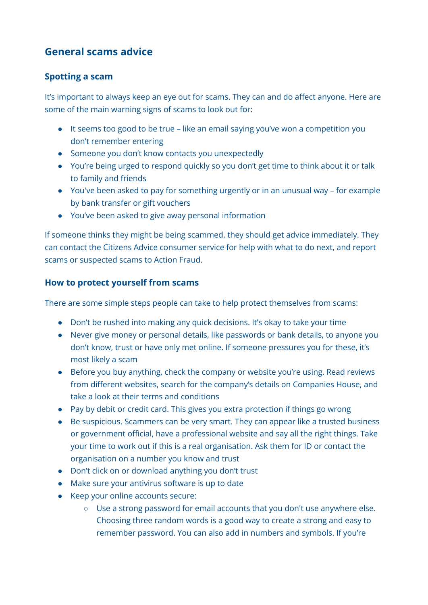# <span id="page-2-0"></span>**General scams advice**

#### <span id="page-2-1"></span>**Spotting a scam**

It's important to always keep an eye out for scams. They can and do affect anyone. Here are some of the main warning signs of scams to look out for:

- It seems too good to be true like an email saying you've won a competition you don't remember entering
- Someone you don't know contacts you unexpectedly
- You're being urged to respond quickly so you don't get time to think about it or talk to family and friends
- You've been asked to pay for something urgently or in an unusual way for example by bank transfer or gift vouchers
- You've been asked to give away personal information

If someone thinks they might be being scammed, they should get advice immediately. They can contact the Citizens Advice consumer service for help with what to do next, and report scams or suspected scams to Action Fraud.

#### <span id="page-2-2"></span>**How to protect yourself from scams**

There are some simple steps people can take to help protect themselves from scams:

- Don't be rushed into making any quick decisions. It's okay to take your time
- Never give money or personal details, like passwords or bank details, to anyone you don't know, trust or have only met online. If someone pressures you for these, it's most likely a scam
- Before you buy anything, check the company or website you're using. Read reviews from different websites, search for the company's details on Companies House, and take a look at their terms and conditions
- Pay by debit or credit card. This gives you extra protection if things go wrong
- Be suspicious. Scammers can be very smart. They can appear like a trusted business or government official, have a professional website and say all the right things. Take your time to work out if this is a real organisation. Ask them for ID or contact the organisation on a number you know and trust
- Don't click on or download anything you don't trust
- Make sure your antivirus software is up to date
- Keep your online accounts secure:
	- Use a strong password for email accounts that you don't use anywhere else. Choosing three random words is a good way to create a strong and easy to remember password. You can also add in numbers and symbols. If you're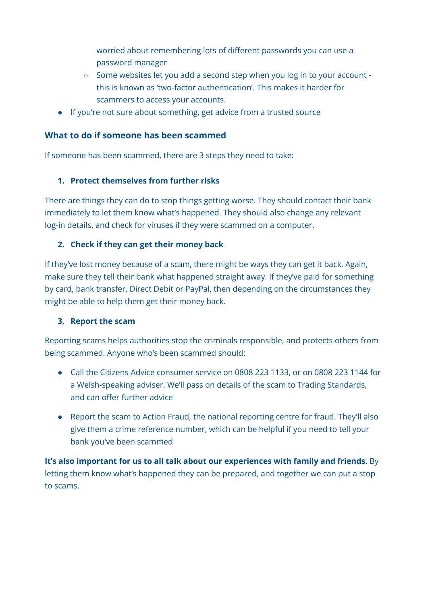worried about remembering lots of different passwords you can use a password manager

- Some websites let you add a second step when you log in to your account this is known as 'two-factor authentication'. This makes it harder for scammers to access your accounts.
- If you're not sure about something, get advice from a trusted source

#### <span id="page-3-0"></span>**What to do if someone has been scammed**

If someone has been scammed, there are 3 steps they need to take:

#### **1. Protect themselves from further risks**

There are things they can do to stop things getting worse. They should contact their bank immediately to let them know what's happened. They should also change any relevant log-in details, and check for viruses if they were scammed on a computer.

#### **2. Check if they can get their money back**

If they've lost money because of a scam, there might be ways they can get it back. Again, make sure they tell their bank what happened straight away. If they've paid for something by card, bank transfer, Direct Debit or PayPal, then depending on the circumstances they might be able to help them get their money back.

#### **3. Report the scam**

Reporting scams helps authorities stop the criminals responsible, and protects others from being scammed. Anyone who's been scammed should:

- Call the Citizens Advice consumer service on 0808 223 1133, or on 0808 223 1144 for a Welsh-speaking adviser. We'll pass on details of the scam to Trading Standards, and can offer further advice
- Report the scam to Action Fraud, the national reporting centre for fraud. They'll also give them a crime reference number, which can be helpful if you need to tell your bank you've been scammed

**It's also important for us to all talk about our experiences with family and friends.** By letting them know what's happened they can be prepared, and together we can put a stop to scams.